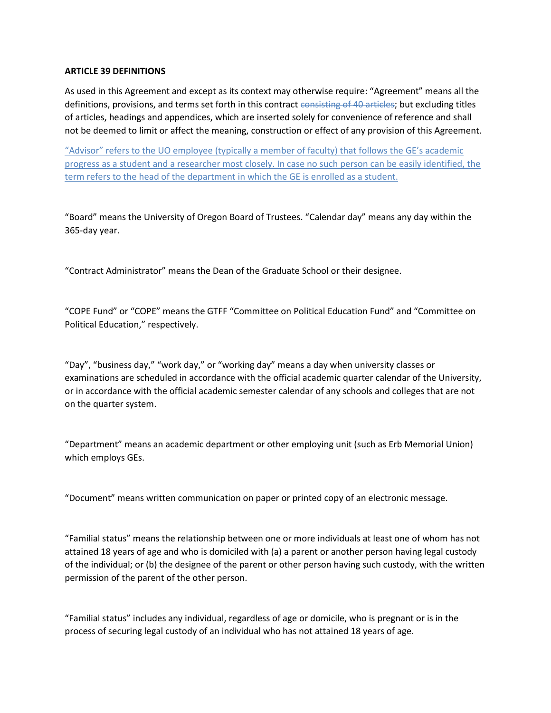## **ARTICLE 39 DEFINITIONS**

As used in this Agreement and except as its context may otherwise require: "Agreement" means all the definitions, provisions, and terms set forth in this contract consisting of 40 articles; but excluding titles of articles, headings and appendices, which are inserted solely for convenience of reference and shall not be deemed to limit or affect the meaning, construction or effect of any provision of this Agreement.

"Advisor" refers to the UO employee (typically a member of faculty) that follows the GE's academic progress as a student and a researcher most closely. In case no such person can be easily identified, the term refers to the head of the department in which the GE is enrolled as a student.

"Board" means the University of Oregon Board of Trustees. "Calendar day" means any day within the 365-day year.

"Contract Administrator" means the Dean of the Graduate School or their designee.

"COPE Fund" or "COPE" means the GTFF "Committee on Political Education Fund" and "Committee on Political Education," respectively.

"Day", "business day," "work day," or "working day" means a day when university classes or examinations are scheduled in accordance with the official academic quarter calendar of the University, or in accordance with the official academic semester calendar of any schools and colleges that are not on the quarter system.

"Department" means an academic department or other employing unit (such as Erb Memorial Union) which employs GEs.

"Document" means written communication on paper or printed copy of an electronic message.

"Familial status" means the relationship between one or more individuals at least one of whom has not attained 18 years of age and who is domiciled with (a) a parent or another person having legal custody of the individual; or (b) the designee of the parent or other person having such custody, with the written permission of the parent of the other person.

"Familial status" includes any individual, regardless of age or domicile, who is pregnant or is in the process of securing legal custody of an individual who has not attained 18 years of age.